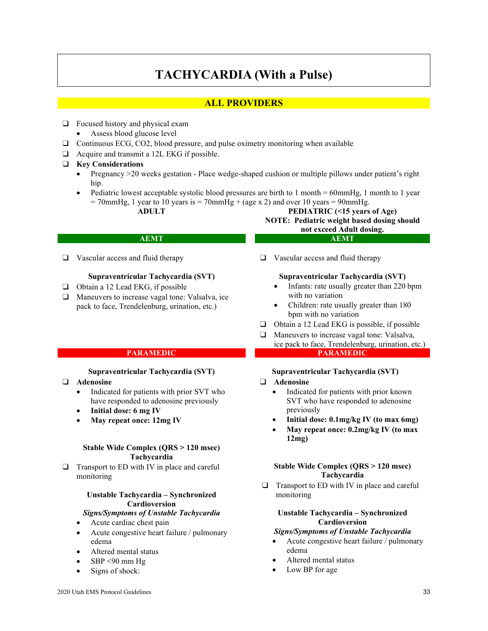# **TACHYCARDIA (With a Pulse)**

# **ALL PROVIDERS**

- ❑ Focused history and physical exam
	- Assess blood glucose level
- ❑ Continuous ECG, CO2, blood pressure, and pulse oximetry monitoring when available
- ❑ Acquire and transmit a 12L EKG if possible.
- ❑ **Key Considerations**
	- Pregnancy >20 weeks gestation Place wedge-shaped cushion or multiple pillows under patient's right hip.
	- Pediatric lowest acceptable systolic blood pressures are birth to 1 month = 60mmHg, 1 month to 1 year  $= 70$ mmHg, 1 year to 10 years is  $= 70$ mmHg + (age x 2) and over 10 years  $= 90$ mmHg.
		-

# **ADULT PEDIATRIC (<15 years of Age) NOTE: Pediatric weight based dosing should not exceed Adult dosing.**

# **AEMT AEMT**

❑ Vascular access and fluid therapy

# **Supraventricular Tachycardia (SVT)**

- ❑ Obtain a 12 Lead EKG, if possible
- ❑ Maneuvers to increase vagal tone: Valsalva, ice pack to face, Trendelenburg, urination, etc.)

#### **Supraventricular Tachycardia (SVT)**

- ❑ **Adenosine**
	- Indicated for patients with prior SVT who have responded to adenosine previously
	- **Initial dose: 6 mg IV**
	- **May repeat once: 12mg IV**

#### **Stable Wide Complex (QRS > 120 msec) Tachycardia**

 $\Box$  Transport to ED with IV in place and careful monitoring

### **Unstable Tachycardia – Synchronized Cardioversion**

#### *Signs/Symptoms of Unstable Tachycardia*

- Acute cardiac chest pain
- Acute congestive heart failure / pulmonary edema
- Altered mental status
- $SBP < 90$  mm Hg
- Signs of shock:

#### ❑ Vascular access and fluid therapy

#### **Supraventricular Tachycardia (SVT)**

- Infants: rate usually greater than 220 bpm with no variation
- Children: rate usually greater than 180 bpm with no variation
- ❑ Obtain a 12 Lead EKG is possible, if possible
- ❑ Maneuvers to increase vagal tone: Valsalva, ice pack to face, Trendelenburg, urination, etc.) **PARAMEDIC PARAMEDIC**

#### **Supraventricular Tachycardia (SVT)**

#### ❑ **Adenosine**

- Indicated for patients with prior known SVT who have responded to adenosine previously
- **Initial dose: 0.1mg/kg IV (to max 6mg)**
- **May repeat once: 0.2mg/kg IV (to max 12mg)**

#### **Stable Wide Complex (QRS > 120 msec) Tachycardia**

❑ Transport to ED with IV in place and careful monitoring

#### **Unstable Tachycardia – Synchronized Cardioversion**

#### *Signs/Symptoms of Unstable Tachycardia*

- Acute congestive heart failure / pulmonary edema
- Altered mental status
- Low BP for age